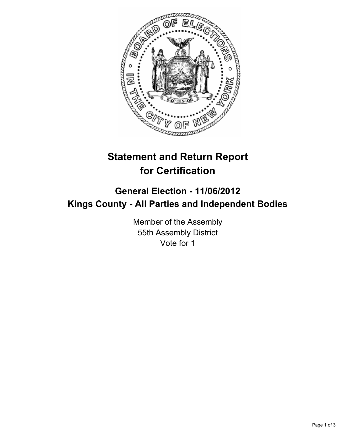

## **Statement and Return Report for Certification**

## **General Election - 11/06/2012 Kings County - All Parties and Independent Bodies**

Member of the Assembly 55th Assembly District Vote for 1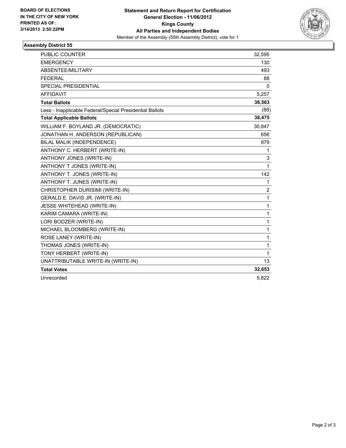

## **Assembly District 55**

| <b>PUBLIC COUNTER</b>                                    | 32,595       |
|----------------------------------------------------------|--------------|
| <b>EMERGENCY</b>                                         | 130          |
| ABSENTEE/MILITARY                                        | 493          |
| <b>FEDERAL</b>                                           | 88           |
| <b>SPECIAL PRESIDENTIAL</b>                              | 0            |
| <b>AFFIDAVIT</b>                                         | 5,257        |
| <b>Total Ballots</b>                                     | 38,563       |
| Less - Inapplicable Federal/Special Presidential Ballots | (88)         |
| <b>Total Applicable Ballots</b>                          | 38,475       |
| WILLIAM F. BOYLAND JR. (DEMOCRATIC)                      | 30,847       |
| JONATHAN H. ANDERSON (REPUBLICAN)                        | 656          |
| BILAL MALIK (INDEPENDENCE)                               | 979          |
| ANTHONY C. HERBERT (WRITE-IN)                            | 1            |
| ANTHONY JONES (WRITE-IN)                                 | 3            |
| ANTHONY T JONES (WRITE-IN)                               | 1            |
| ANTHONY T. JONES (WRITE-IN)                              | 142          |
| ANTHONY T. JUNES (WRITE-IN)                              | 1            |
| CHRISTOPHER DURISIMI (WRITE-IN)                          | 2            |
| GERALD E. DAVIS JR. (WRITE-IN)                           | $\mathbf{1}$ |
| JESSE WHITEHEAD (WRITE-IN)                               | 1            |
| KARIM CAMARA (WRITE-IN)                                  | $\mathbf{1}$ |
| LORI BODZER (WRITE-IN)                                   | 1            |
| MICHAEL BLOOMBERG (WRITE-IN)                             | 1            |
| ROSE LANEY (WRITE-IN)                                    | 1            |
| THOMAS JONES (WRITE-IN)                                  | 1            |
| TONY HERBERT (WRITE-IN)                                  | 1            |
| UNATTRIBUTABLE WRITE-IN (WRITE-IN)                       | 13           |
| <b>Total Votes</b>                                       | 32,653       |
| Unrecorded                                               | 5,822        |